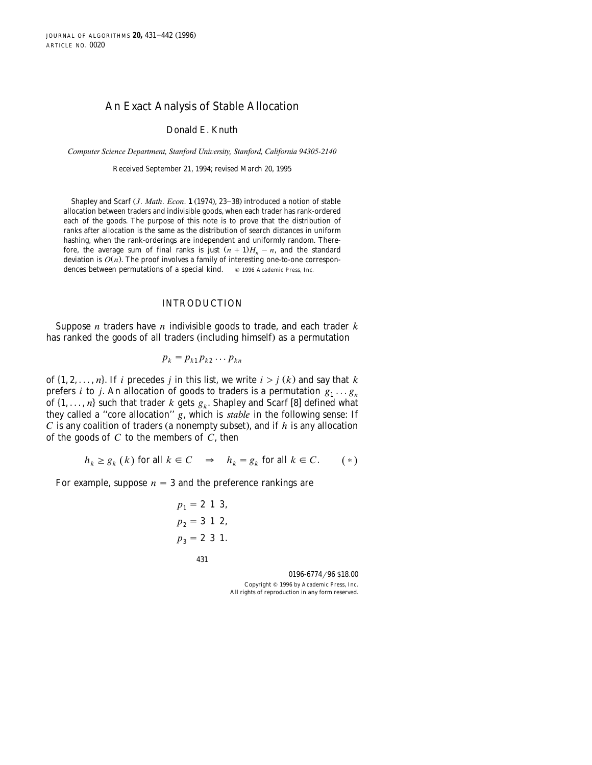# An Exact Analysis of Stable Allocation

Donald E. Knuth

*Computer Science Department, Stanford Uni*¨*ersity, Stanford, California 94305-2140*

Received September 21, 1994; revised March 20, 1995

Shapley and Scarf *(J. Math. Econ.* **1** (1974), 23–38) introduced a notion of stable allocation between traders and indivisible goods, when each trader has rank-ordered each of the goods. The purpose of this note is to prove that the distribution of ranks after allocation is the same as the distribution of search distances in uniform hashing, when the rank-orderings are independent and uniformly random. Therefore, the average sum of final ranks is just  $(n + 1)H_n - n$ , and the standard deviation is  $O(n)$ . The proof involves a family of interesting one-to-one correspondences between permutations of a special kind.  $\circ$  1996 Academic Press, Inc.

#### INTRODUCTION

Suppose *n* traders have *n* indivisible goods to trade, and each trader *k* has ranked the goods of all traders (including himself) as a permutation

$$
p_k = p_{k1} p_{k2} \dots p_{kn}
$$

of  $\{1, 2, \ldots, n\}$ . If *i* precedes *j* in this list, we write  $i > j(k)$  and say that *k* prefers *i* to *j*. An allocation of goods to traders is a permutation  $g_1 \ldots g_n$ of  $\{1, \ldots, n\}$  such that trader *k* gets  $g_k$ . Shapley and Scarf [8] defined what they called a ''core allocation'' *g*, which is *stable* in the following sense: If  $C$  is any coalition of traders (a nonempty subset), and if  $h$  is any allocation of the goods of *C* to the members of *C*, then

$$
h_k \ge g_k(k) \text{ for all } k \in C \quad \Rightarrow \quad h_k = g_k \text{ for all } k \in C. \tag{*}
$$

For example, suppose  $n = 3$  and the preference rankings are

$$
p_1 = 2 \t 1 \t 3,p_2 = 3 \t 1 \t 2,p_3 = 2 \t 3 \t 1.
$$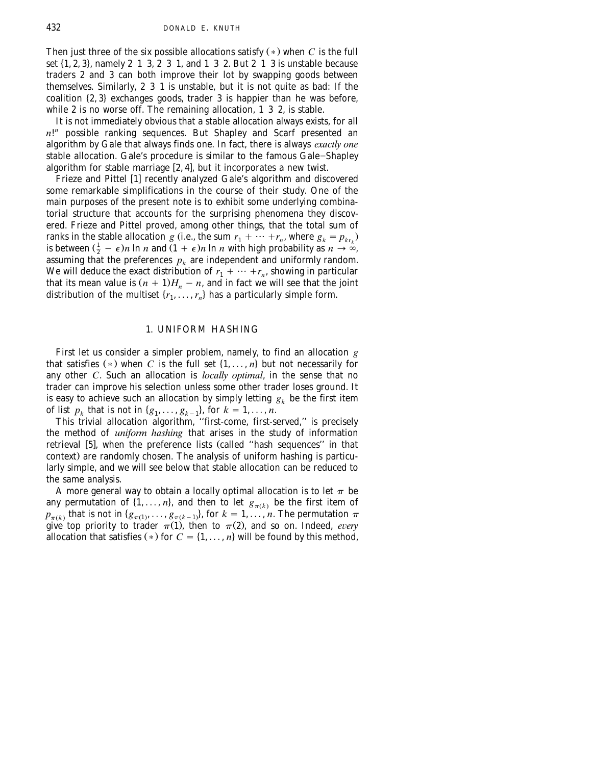Then just three of the six possible allocations satisfy  $(*)$  when *C* is the full set  $\{1, 2, 3\}$ , namely 2 1 3, 2 3 1, and 1 3 2. But 2 1 3 is unstable because traders 2 and 3 can both improve their lot by swapping goods between themselves. Similarly, 2 3 1 is unstable, but it is not quite as bad: If the coalition  $\{2, 3\}$  exchanges goods, trader 3 is happier than he was before, while 2 is no worse off. The remaining allocation, 1 3 2, is stable.

It is not immediately obvious that a stable allocation always exists, for all *n*! *<sup>n</sup>* possible ranking sequences. But Shapley and Scarf presented an algorithm by Gale that always finds one. In fact, there is always *exactly one* stable allocation. Gale's procedure is similar to the famous Gale-Shapley algorithm for stable marriage  $[2, 4]$ , but it incorporates a new twist.

Frieze and Pittel [1] recently analyzed Gale's algorithm and discovered some remarkable simplifications in the course of their study. One of the main purposes of the present note is to exhibit some underlying combinatorial structure that accounts for the surprising phenomena they discovered. Frieze and Pittel proved, among other things, that the total sum of ranks in the stable allocation *g* (i.e., the sum  $r_1 + \cdots + r_n$ , where  $g_k = p_{kr_k}$ ) is between  $(\frac{1}{2} - \epsilon)n \ln n$  and  $(1 + \epsilon)n \ln n$  with high probability as  $n \to \infty$ , assuming that the preferences  $p_k$  are independent and uniformly random. We will deduce the exact distribution of  $r_1 + \cdots + r_n$ , showing in particular that its mean value is  $(n + 1)H_n - n$ , and in fact we will see that the joint distribution of the multiset  $\{r_1, \ldots, r_n\}$  has a particularly simple form.

#### 1. UNIFORM HASHING

First let us consider a simpler problem, namely, to find an allocation *g* that satisfies  $(*)$  when *C* is the full set  $\{1, \ldots, n\}$  but not necessarily for any other *C*. Such an allocation is *locally optimal*, in the sense that no trader can improve his selection unless some other trader loses ground. It is easy to achieve such an allocation by simply letting  $g_k$  be the first item of list  $p_k$  that is not in  $\{g_1, \ldots, g_{k-1}\}\$ , for  $k = 1, \ldots, n$ .

This trivial allocation algorithm, ''first-come, first-served,'' is precisely the method of *uniform hashing* that arises in the study of information retrieval [5], when the preference lists (called "hash sequences" in that context) are randomly chosen. The analysis of uniform hashing is particularly simple, and we will see below that stable allocation can be reduced to the same analysis.

A more general way to obtain a locally optimal allocation is to let  $\pi$  be any permutation of  $\{1, \ldots, n\}$ , and then to let  $g_{\pi(k)}$  be the first item of  $p_{\pi(k)}$  that is not in  $\{g_{\pi(1)},\ldots,g_{\pi(k-1)}\}$ , for  $k=1,\ldots,n$ . The permutation  $\pi$ give top priority to trader  $\pi(1)$ , then to  $\pi(2)$ , and so on. Indeed, *every* allocation that satisfies  $(*)$  for  $C = \{1, \ldots, n\}$  will be found by this method,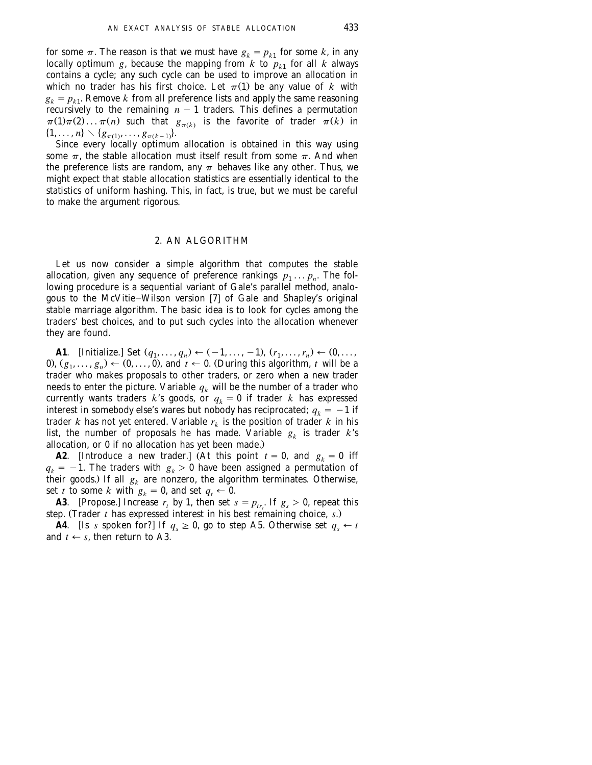for some  $\pi$ . The reason is that we must have  $g_k = p_{k1}$  for some *k*, in any locally optimum *g*, because the mapping from *k* to  $p_{k_1}$  for all *k* always contains a cycle; any such cycle can be used to improve an allocation in which no trader has his first choice. Let  $\pi(1)$  be any value of *k* with  $g_k = p_{k1}$ . Remove *k* from all preference lists and apply the same reasoning recursively to the remaining  $n - 1$  traders. This defines a permutation  $\pi(1)\pi(2)\dots\pi(n)$  such that  $g_{\pi(k)}$  is the favorite of trader  $\pi(k)$  in  $\{1, \ldots, n\} \setminus \{g_{\pi(1)}, \ldots, g_{\pi(k-1)}\}.$ 

Since every locally optimum allocation is obtained in this way using some  $\pi$ , the stable allocation must itself result from some  $\pi$ . And when the preference lists are random, any  $\pi$  behaves like any other. Thus, we might expect that stable allocation statistics are essentially identical to the statistics of uniform hashing. This, in fact, is true, but we must be careful to make the argument rigorous.

### 2. AN ALGORITHM

Let us now consider a simple algorithm that computes the stable allocation, given any sequence of preference rankings  $p_1 \ldots p_n$ . The following procedure is a sequential variant of Gale's parallel method, analogous to the McVitie-Wilson version [7] of Gale and Shapley's original stable marriage algorithm. The basic idea is to look for cycles among the traders' best choices, and to put such cycles into the allocation whenever they are found.

**A1**. [Initialize.] Set  $(q_1, ..., q_n) \leftarrow (-1, ..., -1)$ ,  $(r_1, ..., r_n) \leftarrow (0, ...,$ 0),  $(g_1, \ldots, g_n) \leftarrow (0, \ldots, 0)$ , and  $t \leftarrow 0$ . (During this algorithm, t will be a trader who makes proposals to other traders, or zero when a new trader needs to enter the picture. Variable  $q_k$  will be the number of a trader who currently wants traders *k*'s goods, or  $q_k = 0$  if trader *k* has expressed interest in somebody else's wares but nobody has reciprocated;  $q_k = -1$  if trader *k* has not yet entered. Variable  $r_k$  is the position of trader *k* in his list, the number of proposals he has made. Variable  $g_k$  is trader  $k$ 's allocation, or 0 if no allocation has yet been made..

**A2**. [Introduce a new trader.] (At this point  $t = 0$ , and  $g_k = 0$  iff  $q_k = -1$ . The traders with  $g_k > 0$  have been assigned a permutation of their goods.) If all  $g_k$  are nonzero, the algorithm terminates. Otherwise, set *t* to some *k* with  $g_k = 0$ , and set  $q_t \leftarrow 0$ .

**A3**. [Propose.] Increase  $r_t$  by 1, then set  $s = p_{tr}$ . If  $g_s > 0$ , repeat this step. (Trader  $t$  has expressed interest in his best remaining choice,  $s$ .)

**A4**. [Is s spoken for?] If  $q_s \ge 0$ , go to step A5. Otherwise set  $q_s \leftarrow t$ and  $t \leftarrow s$ , then return to A3.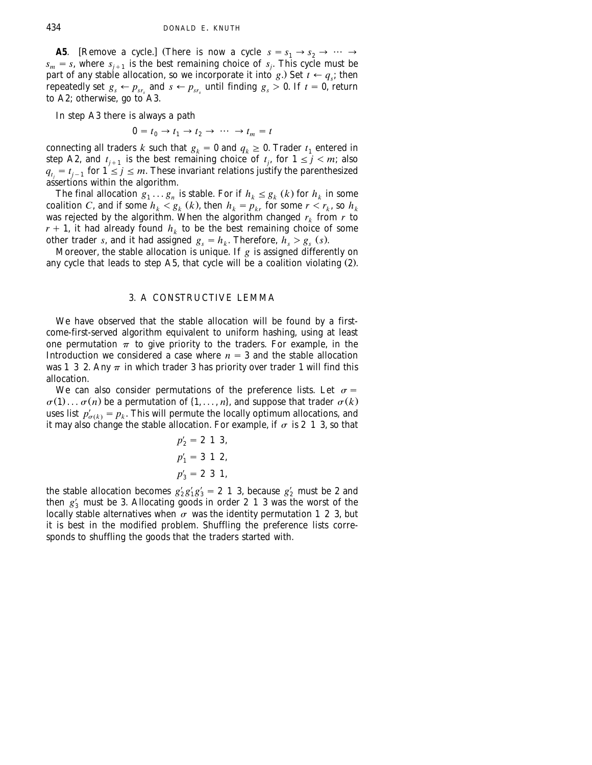**A5**. [Remove a cycle.] (There is now a cycle  $s = s_1 \rightarrow s_2 \rightarrow \cdots$  $s_m = s$ , where  $s_{j+1}$  is the best remaining choice of  $s_j$ . This cycle must be part of any stable allocation, so we incorporate it into *g*.) Set  $t \leftarrow q_s$ ; then repeatedly set  $g_s \leftarrow p_{sr_s}$  and  $s \leftarrow p_{sr_s}$  until finding  $g_s > 0$ . If  $t = 0$ , return to A2; otherwise, go to A3.

In step A3 there is always a path

$$
0 = t_0 \rightarrow t_1 \rightarrow t_2 \rightarrow \cdots \rightarrow t_m = t
$$

connecting all traders *k* such that  $g_k = 0$  and  $q_k \ge 0$ . Trader  $t_1$  entered in step A2, and  $t_{j+1}$  is the best remaining choice of  $t_j$ , for  $1 \le j \le m$ ; also  $q_t = t_{i-1}$  for  $1 \leq j \leq m$ . These invariant relations justify the parenthesized assertions within the algorithm.

The final allocation  $g_1 \ldots g_n$  is stable. For if  $h_k \leq g_k(k)$  for  $h_k$  in some coalition *C*, and if some  $h_k < g_k$  (*k*), then  $h_k = p_{kr}$  for some  $r < r_k$ , so  $h_k$ was rejected by the algorithm. When the algorithm changed  $r_k$  from  $r$  to  $r + 1$ , it had already found  $h_k$  to be the best remaining choice of some other trader *s*, and it had assigned  $g_s = h_k$ . Therefore,  $h_s > g_s$  (*s*).

Moreover, the stable allocation is unique. If *g* is assigned differently on any cycle that leads to step  $A5$ , that cycle will be a coalition violating  $(2)$ .

### 3. A CONSTRUCTIVE LEMMA

We have observed that the stable allocation will be found by a firstcome-first-served algorithm equivalent to uniform hashing, using at least one permutation  $\pi$  to give priority to the traders. For example, in the Introduction we considered a case where  $n = 3$  and the stable allocation was 1 3 2. Any  $\pi$  in which trader 3 has priority over trader 1 will find this allocation.

We can also consider permutations of the preference lists. Let  $\sigma =$  $\sigma(1) \ldots \sigma(n)$  be a permutation of  $\{1, \ldots, n\}$ , and suppose that trader  $\sigma(k)$ uses list  $p'_{\sigma(k)} = p_k$ . This will permute the locally optimum allocations, and it may also change the stable allocation. For example, if  $\sigma$  is 2 1 3, so that

$$
p'_2 = 2 \t 1 \t 3,p'_1 = 3 \t 1 \t 2,p'_3 = 2 \t 3 \t 1,
$$

the stable allocation becomes  $g'_2 g'_1 g'_3 = 2 \; 1 \; 3$ , because  $g'_2$  must be 2 and then  $g'_3$  must be 3. Allocating goods in order 2 1 3 was the worst of the locally stable alternatives when  $\sigma$  was the identity permutation 1 2 3, but it is best in the modified problem. Shuffling the preference lists corresponds to shuffling the goods that the traders started with.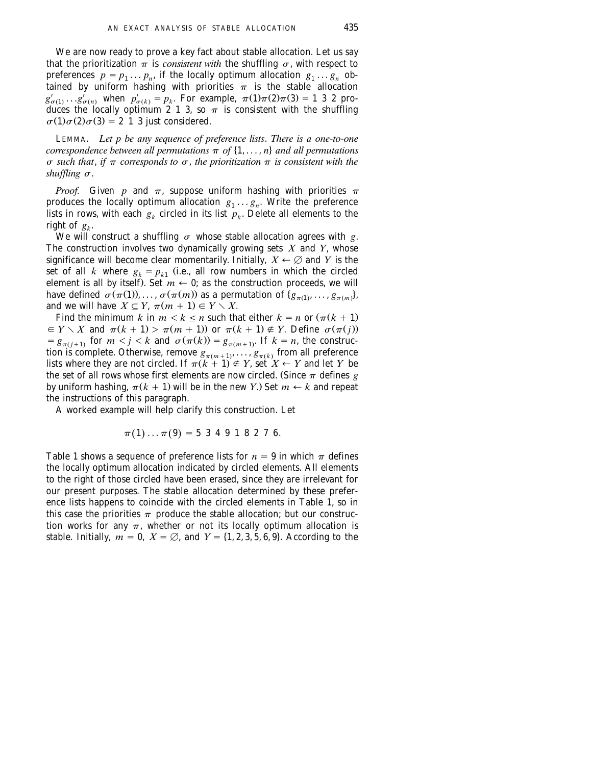We are now ready to prove a key fact about stable allocation. Let us say that the prioritization  $\pi$  is *consistent with* the shuffling  $\sigma$ , with respect to preferences  $p = p_1 \dots p_n$ , if the locally optimum allocation  $g_1 \dots g_n$  obtained by uniform hashing with priorities  $\pi$  is the stable allocation  $g'_{\sigma(1)} \ldots g'_{\sigma(n)}$  when  $p'_{\sigma(k)} = p_k$ . For example,  $\pi(1)\pi(2)\pi(3) = 1$  3 2 produces the locally optimum 2 1 3, so  $\pi$  is consistent with the shuffling  $\sigma(1)\sigma(2)\sigma(3) = 2$  1 3 just considered.

LEMMA. *Let p be any sequence of preference lists*. *There is a one*-*to*-*one correspondence between all permutations*  $\pi$  *of*  $\{1, \ldots, n\}$  *and all permutations*  $\sigma$  such that, if  $\pi$  corresponds to  $\sigma$ , the prioritization  $\pi$  is consistent with the *shuffling*  $\sigma$ .

*Proof.* Given *p* and  $\pi$ , suppose uniform hashing with priorities  $\pi$ produces the locally optimum allocation  $g_1 \ldots g_n$ . Write the preference lists in rows, with each  $g_k$  circled in its list  $p_k$ . Delete all elements to the right of  $g_{\iota}$ .

We will construct a shuffling  $\sigma$  whose stable allocation agrees with g. The construction involves two dynamically growing sets *X* and *Y*, whose significance will become clear momentarily. Initially,  $X \leftarrow \emptyset$  and *Y* is the set of all *k* where  $g_k = p_{k1}$  (i.e., all row numbers in which the circled element is all by itself). Set  $m \leftarrow 0$ ; as the construction proceeds, we will have defined  $\sigma(\pi(1)), \ldots, \sigma(\pi(m))$  as a permutation of  $\{g_{\pi(1)}, \ldots, g_{\pi(m)}\}$ , and we will have  $X \subseteq Y$ ,  $\pi(m + 1) \in Y \setminus X$ .

Find the minimum *k* in  $m < k \le n$  such that either  $k = n$  or  $(\pi(k + 1))$  $g \in Y \setminus X$  and  $\pi(k + 1) > \pi(m + 1)$  or  $\pi(k + 1) \notin Y$ . Define  $\sigma(\pi(j))$  $g_{\pi(j+1)}$  for  $m < j < k$  and  $\sigma(\pi(k)) = g_{\pi(m+1)}$ . If  $k = n$ , the construction is complete. Otherwise, remove  $g_{\pi(m+1)}, \ldots, g_{\pi(k)}$  from all preference lists where they are not circled. If  $\pi(k+1) \notin Y$ , set  $X \leftarrow Y$  and let *Y* be the set of all rows whose first elements are now circled. (Since  $\pi$  defines *g* by uniform hashing,  $\pi(k + 1)$  will be in the new *Y*.) Set  $m \leftarrow k$  and repeat the instructions of this paragraph.

A worked example will help clarify this construction. Let

$$
\pi(1)\ldots\pi(9)=5\ 3\ 4\ 9\ 1\ 8\ 2\ 7\ 6.
$$

Table 1 shows a sequence of preference lists for  $n = 9$  in which  $\pi$  defines the locally optimum allocation indicated by circled elements. All elements to the right of those circled have been erased, since they are irrelevant for our present purposes. The stable allocation determined by these preference lists happens to coincide with the circled elements in Table 1, so in this case the priorities  $\pi$  produce the stable allocation; but our construction works for any  $\pi$ , whether or not its locally optimum allocation is stable. Initially,  $m = 0$ ,  $X = \emptyset$ , and  $Y = \{1, 2, 3, 5, 6, 9\}$ . According to the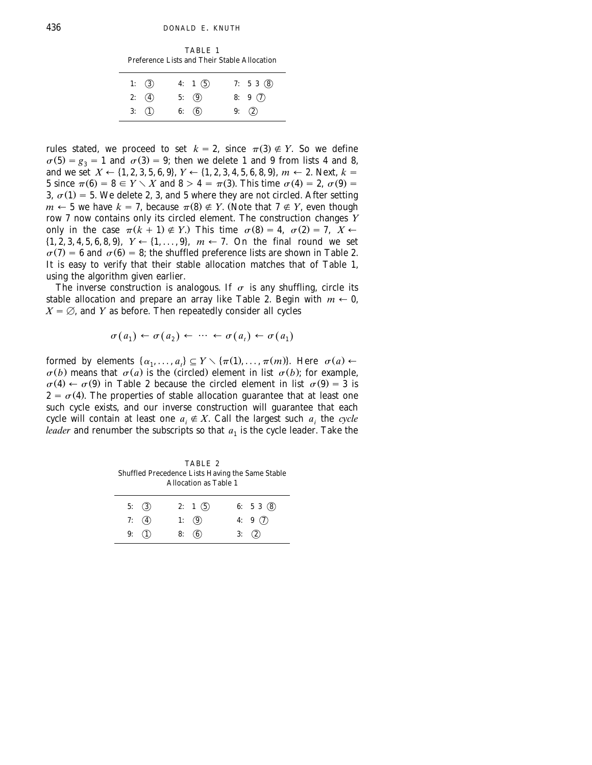TABLE 1 Preference Lists and Their Stable Allocation

| 1: $(3)$       | 4: 1 $(5)$ | 7: $53(8)$   |
|----------------|------------|--------------|
| 2: $\bigcirc$  | 5: $(9)$   | 8: $9\quad)$ |
| $3: \quad (1)$ | 6: $(6)$   | 9: $(2)$     |

rules stated, we proceed to set  $k = 2$ , since  $\pi(3) \notin Y$ . So we define  $\sigma(5) = g_3 = 1$  and  $\sigma(3) = 9$ ; then we delete 1 and 9 from lists 4 and 8, and we set  $X \leftarrow \{1, 2, 3, 5, 6, 9\}$ ,  $Y \leftarrow \{1, 2, 3, 4, 5, 6, 8, 9\}$ ,  $m \leftarrow 2$ . Next,  $k =$ 5 since  $\pi(6) = 8 \in Y \setminus X$  and  $8 > 4 = \pi(3)$ . This time  $\sigma(4) = 2$ ,  $\sigma(9) =$ 3,  $\sigma(1) = 5$ . We delete 2, 3, and 5 where they are not circled. After setting  $m \leftarrow 5$  we have  $k = 7$ , because  $\pi(8) \notin Y$ . (Note that  $7 \notin Y$ , even though row 7 now contains only its circled element. The construction changes *Y* only in the case  $\pi(k + 1) \notin Y$ .) This time  $\sigma(8) = 4$ ,  $\sigma(2) = 7$ ,  $X \leftarrow$  $\{1, 2, 3, 4, 5, 6, 8, 9\}$ ,  $Y \leftarrow \{1, \ldots, 9\}$ ,  $m \leftarrow 7$ . On the final round we set  $\sigma(7) = 6$  and  $\sigma(6) = 8$ ; the shuffled preference lists are shown in Table 2. It is easy to verify that their stable allocation matches that of Table 1, using the algorithm given earlier.

The inverse construction is analogous. If  $\sigma$  is any shuffling, circle its stable allocation and prepare an array like Table 2. Begin with  $m \leftarrow 0$ ,  $X = \emptyset$ , and *Y* as before. Then repeatedly consider all cycles

$$
\sigma(a_1) \leftarrow \sigma(a_2) \leftarrow \cdots \leftarrow \sigma(a_t) \leftarrow \sigma(a_1)
$$

formed by elements  $\{\alpha_1, \ldots, \alpha_t\} \subseteq Y \setminus \{\pi(1), \ldots, \pi(m)\}\)$ . Here  $\sigma(a) \leftarrow$  $\sigma(b)$  means that  $\sigma(a)$  is the (circled) element in list  $\sigma(b)$ ; for example,  $\sigma(4) \leftarrow \sigma(9)$  in Table 2 because the circled element in list  $\sigma(9) = 3$  is  $2 = \sigma(4)$ . The properties of stable allocation guarantee that at least one such cycle exists, and our inverse construction will guarantee that each cycle will contain at least one  $a_i \notin X$ . Call the largest such  $a_i$  the *cycle leader* and renumber the subscripts so that  $a_1$  is the cycle leader. Take the

TABLE 2 Shuffled Precedence Lists Having the Same Stable Allocation as Table 1

| 5: $(3)$            | 2: 1 $(5)$ | 6: $53(8)$ |
|---------------------|------------|------------|
| 7: $\left(4\right)$ | 1: $(9)$   | 4: $9(7)$  |
| 9: $(1)$            | 8: (6)     | 3: (2)     |
|                     |            |            |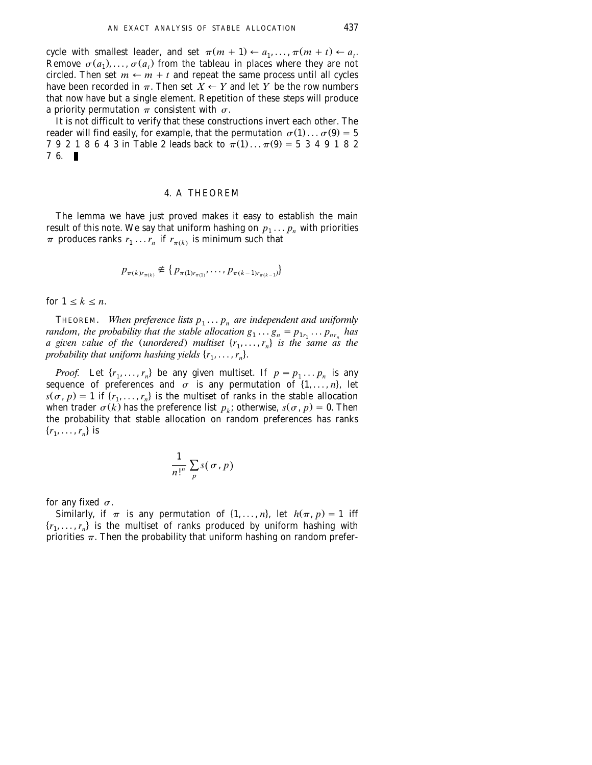cycle with smallest leader, and set  $\pi(m + 1) \leftarrow a_1, \ldots, \pi(m + t) \leftarrow a_t$ . Remove  $\sigma(a_1), \ldots, \sigma(a_r)$  from the tableau in places where they are not circled. Then set  $m \leftarrow m + t$  and repeat the same process until all cycles have been recorded in  $\pi$ . Then set  $\overline{X} \leftarrow Y$  and let *Y* be the row numbers that now have but a single element. Repetition of these steps will produce a priority permutation  $\pi$  consistent with  $\sigma$ .

It is not difficult to verify that these constructions invert each other. The reader will find easily, for example, that the permutation  $\sigma(1) \dots \sigma(9) = 5$ 7 9 2 1 8 6 4 3 in Table 2 leads back to  $\pi(1) \dots \pi(9) = 5$  3 4 9 1 8 2  $76.$ 

#### 4. A THEOREM

The lemma we have just proved makes it easy to establish the main result of this note. We say that uniform hashing on  $p_1 \ldots p_n$  with priorities  $\pi$  produces ranks  $r_1 \ldots r_n$  if  $r_{\pi(k)}$  is minimum such that

$$
p_{\pi(k)r_{\pi(k)}} \notin \{p_{\pi(1)r_{\pi(1)}}, \ldots, p_{\pi(k-1)r_{\pi(k-1})}\}
$$

for  $1 \leq k \leq n$ .

THEOREM. *When preference lists*  $p_1 \ldots p_n$  are independent and uniformly *random, the probability that the stable allocation*  $g_1 \ldots g_n = p_{1r_1} \ldots p_{nr_n}$  *has a* given value of the (unordered) multiset  $\{r_1, \ldots, r_n\}$  is the same as the *probability that uniform hashing yields*  $\{r_1, \ldots, r_n\}$ .

*Proof.* Let  $\{r_1, \ldots, r_n\}$  be any given multiset. If  $p = p_1 \ldots p_n$  is any sequence of preferences and  $\sigma$  is any permutation of  $\{1, \ldots, n\}$ , let  $s(\sigma, p) = 1$  if  $\{r_1, \ldots, r_n\}$  is the multiset of ranks in the stable allocation when trader  $\sigma(k)$  has the preference list  $p_k$ ; otherwise,  $s(\sigma, p) = 0$ . Then the probability that stable allocation on random preferences has ranks  ${r_1, \ldots, r_n}$  is

$$
\frac{1}{n!^n}\sum_{p} s(\sigma, p)
$$

for any fixed  $\sigma$ .

Similarly, if  $\pi$  is any permutation of  $\{1, \ldots, n\}$ , let  $h(\pi, p) = 1$  iff  ${r_1, \ldots, r_n}$  is the multiset of ranks produced by uniform hashing with priorities  $\pi$ . Then the probability that uniform hashing on random prefer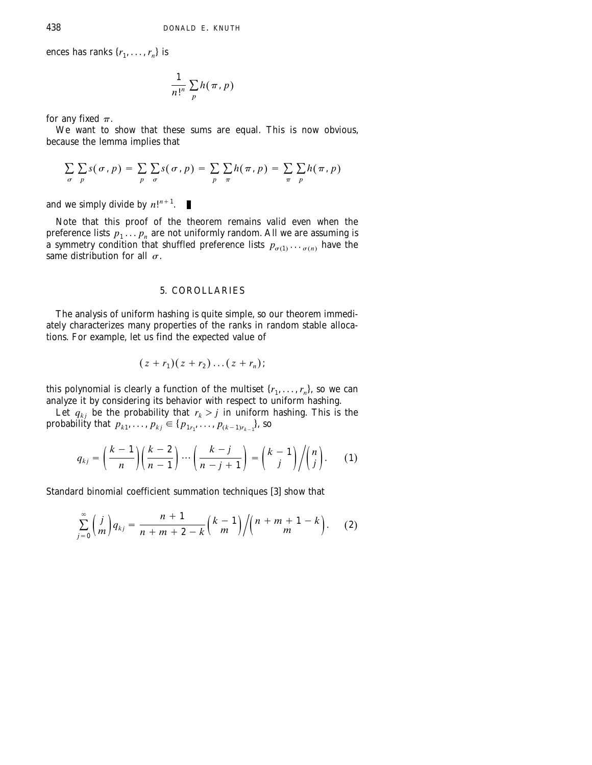ences has ranks  $\{r_1, \ldots, r_n\}$  is

$$
\frac{1}{n!^n}\sum_p h(\,\pi,\,p)
$$

for any fixed  $\pi$ .

We want to show that these sums are equal. This is now obvious, because the lemma implies that

$$
\sum_{\sigma} \sum_{p} s(\sigma, p) = \sum_{p} \sum_{\sigma} s(\sigma, p) = \sum_{p} \sum_{\pi} h(\pi, p) = \sum_{\pi} \sum_{p} h(\pi, p)
$$

and we simply divide by  $n!^{n+1}$ .

Note that this proof of the theorem remains valid even when the preference lists  $p_1 \ldots p_n$  are not uniformly random. All we are assuming is a symmetry condition that shuffled preference lists  $p_{\sigma(1)} \cdots p_{\sigma(n)}$  have the same distribution for all  $\sigma$ .

# 5. COROLLARIES

The analysis of uniform hashing is quite simple, so our theorem immediately characterizes many properties of the ranks in random stable allocations. For example, let us find the expected value of

$$
(z+r_1)(z+r_2)\dots(z+r_n);
$$

this polynomial is clearly a function of the multiset  $\{r_1, \ldots, r_n\}$ , so we can analyze it by considering its behavior with respect to uniform hashing.

Let  $q_{ki}$  be the probability that  $r_k > j$  in uniform hashing. This is the probability that  $p_{k1}, \ldots, p_{kj} \in \{p_{1r_1}, \ldots, p_{(k-1)r_{k-1}}\}$ , so

$$
q_{kj} = \left(\frac{k-1}{n}\right) \left(\frac{k-2}{n-1}\right) \cdots \left(\frac{k-j}{n-j+1}\right) = \binom{k-1}{j} / \binom{n}{j}.
$$
 (1)

Standard binomial coefficient summation techniques [3] show that

$$
\sum_{j=0}^{\infty} \binom{j}{m} q_{kj} = \frac{n+1}{n+m+2-k} \binom{k-1}{m} / \binom{n+m+1-k}{m}.
$$
 (2)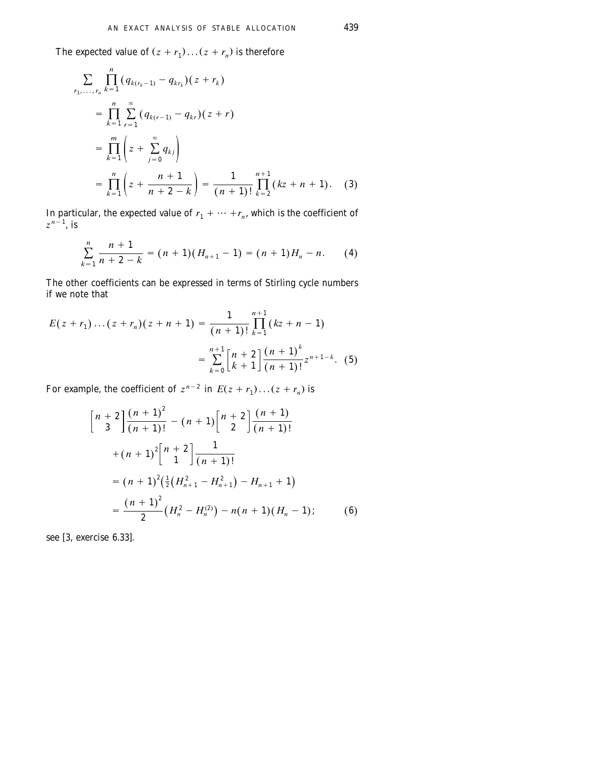The expected value of  $(z + r_1) \dots (z + r_n)$  is therefore

$$
\sum_{r_1, \dots, r_n} \prod_{k=1}^n (q_{k(r_k-1)} - q_{kr_k})(z + r_k)
$$
\n
$$
= \prod_{k=1}^n \sum_{r=1}^\infty (q_{k(r-1)} - q_{kr})(z + r)
$$
\n
$$
= \prod_{k=1}^m \left(z + \sum_{j=0}^\infty q_{kj}\right)
$$
\n
$$
= \prod_{k=1}^n \left(z + \frac{n+1}{n+2-k}\right) = \frac{1}{(n+1)!} \prod_{k=2}^{n+1} (kz + n + 1). \quad (3)
$$

In particular, the expected value of  $r_1 + \cdots + r_n$ , which is the coefficient of  $z^{n-1}$ , is

$$
\sum_{k=1}^{n} \frac{n+1}{n+2-k} = (n+1)(H_{n+1}-1) = (n+1)H_n - n. \tag{4}
$$

The other coefficients can be expressed in terms of Stirling cycle numbers if we note that

$$
E(z + r_1) \dots (z + r_n)(z + n + 1) = \frac{1}{(n+1)!} \prod_{k=1}^{n+1} (kz + n - 1)
$$

$$
= \sum_{k=0}^{n+1} \left[ \frac{n+2}{k+1} \right] \frac{(n+1)^k}{(n+1)!} z^{n+1-k}.
$$
 (5)

For example, the coefficient of  $z^{n-2}$  in  $E(z + r_1)...(z + r_n)$  is

$$
\begin{aligned}\n\left[n+2\right]\frac{(n+1)^2}{(n+1)!} - (n+1)\left[n+2\right]\frac{(n+1)}{(n+1)!} \\
+ (n+1)^2\left[n+2\right]\frac{1}{(n+1)!} \\
= (n+1)^2\left(\frac{1}{2}\left(H_{n+1}^2 - H_{n+1}^2\right) - H_{n+1} + 1\right) \\
= \frac{(n+1)^2}{2}\left(H_n^2 - H_n^{(2)}\right) - n(n+1)\left(H_n - 1\right);\n\end{aligned}
$$
\n(6)

see [3, exercise 6.33].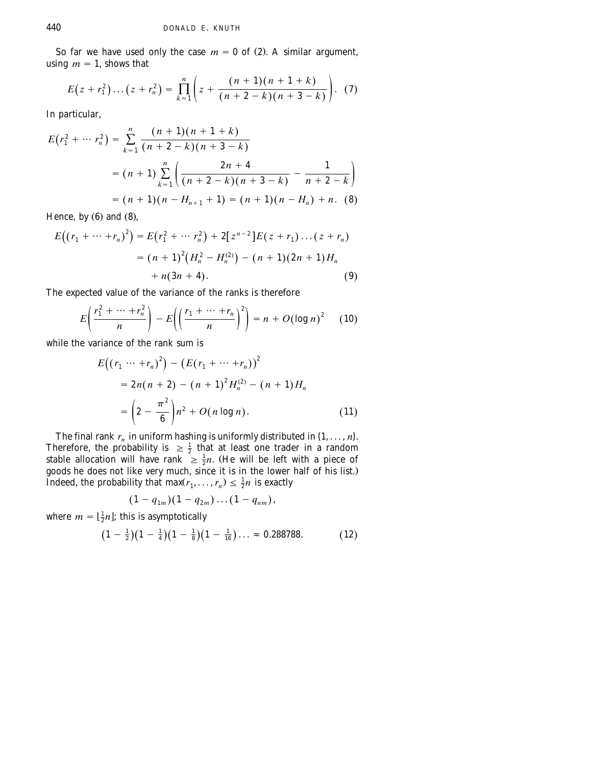So far we have used only the case  $m = 0$  of (2). A similar argument, using  $m = 1$ , shows that

$$
E(z + r_1^2) \dots (z + r_n^2) = \prod_{k=1}^n \left( z + \frac{(n+1)(n+1+k)}{(n+2-k)(n+3-k)} \right).
$$
 (7)

In particular,

$$
E(r_1^2 + \dots r_n^2) = \sum_{k=1}^n \frac{(n+1)(n+1+k)}{(n+2-k)(n+3-k)}
$$
  
=  $(n+1)\sum_{k=1}^n \left(\frac{2n+4}{(n+2-k)(n+3-k)} - \frac{1}{n+2-k}\right)$   
=  $(n+1)(n - H_{n+1} + 1) = (n+1)(n - H_n) + n.$  (8)

Hence, by  $(6)$  and  $(8)$ ,

$$
E((r_1 + \dots + r_n)^2) = E(r_1^2 + \dots + r_n^2) + 2[z^{n-2}]E(z + r_1)\dots(z + r_n)
$$
  
=  $(n + 1)^2(H_n^2 - H_n^{(2)}) - (n + 1)(2n + 1)H_n$   
+  $n(3n + 4).$  (9)

The expected value of the variance of the ranks is therefore

$$
E\left(\frac{r_1^2 + \dots + r_n^2}{n}\right) - E\left(\left(\frac{r_1 + \dots + r_n}{n}\right)^2\right) = n + O\left(\log n\right)^2 \quad (10)
$$

while the variance of the rank sum is

$$
E((r_1 \cdots + r_n)^2) - (E(r_1 + \cdots + r_n))^2
$$
  
=  $2n(n + 2) - (n + 1)^2 H_n^{(2)} - (n + 1) H_n$   
=  $\left(2 - \frac{\pi^2}{6}\right) n^2 + O(n \log n).$  (11)

The final rank  $r_n$  in uniform hashing is uniformly distributed in  $\{1, \ldots, n\}$ .<br>Therefore, the probability is  $\geq \frac{1}{2}$  that at least one trader in a random stable allocation will have rank  $\geq \frac{1}{2}n$ . (He will be left with a piece of goods he does not like very much, since it is in the lower half of his list.. Indeed, the probability that max $(r_1, \ldots, r_n) \leq \frac{1}{2}n$  is exactly

$$
(1-q_{1m})(1-q_{2m})...(1-q_{nm}),
$$

where  $m = \left[\frac{1}{2}n\right]$ ; this is asymptotically

$$
\big(1-\tfrac{1}{2}\big)\big(1-\tfrac{1}{4}\big)\big(1-\tfrac{1}{8}\big)\big(1-\tfrac{1}{16}\big)\ldots\approx 0.288788.\hspace{1cm} (12)
$$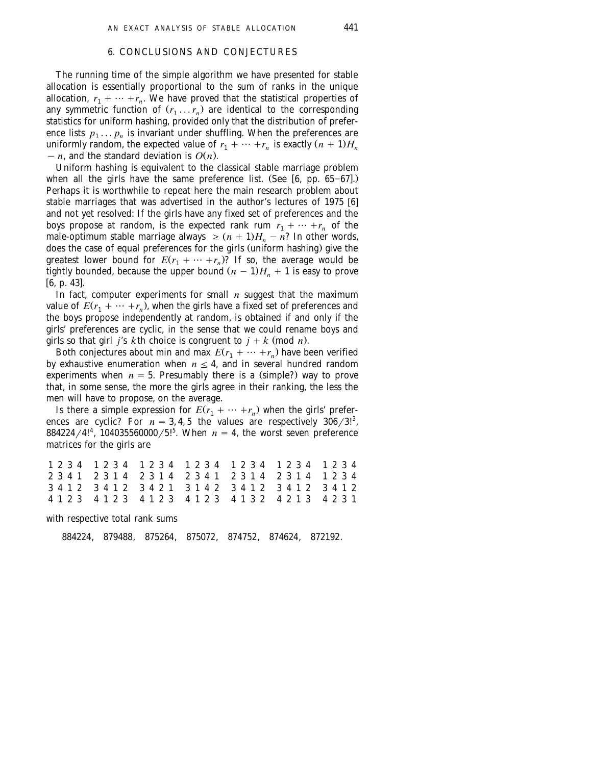### 6. CONCLUSIONS AND CONJECTURES

The running time of the simple algorithm we have presented for stable allocation is essentially proportional to the sum of ranks in the unique allocation,  $r_1 + \cdots + r_n$ . We have proved that the statistical properties of any symmetric function of  $(r_1 \ldots r_n)$  are identical to the corresponding statistics for uniform hashing, provided only that the distribution of preference lists  $p_1 \ldots p_n$  is invariant under shuffling. When the preferences are uniformly random, the expected value of  $r_1 + \cdots + r_n$  is exactly  $(n + 1)H_n$  $n = n$ , and the standard deviation is  $O(n)$ .

Uniform hashing is equivalent to the classical stable marriage problem when all the girls have the same preference list. (See  $[6, pp. 65-67]$ .) Perhaps it is worthwhile to repeat here the main research problem about stable marriages that was advertised in the author's lectures of 1975  $[6]$ and not yet resolved: If the girls have any fixed set of preferences and the boys propose at random, is the expected rank rum  $r_1 + \cdots + r_n$  of the male-optimum stable marriage always  $\geq (n + 1)H_n - n$ ? In other words, does the case of equal preferences for the girls (uniform hashing) give the greatest lower bound for  $E(r_1 + \cdots + r_n)$ ? If so, the average would be tightly bounded, because the upper bound  $(n - 1)H<sub>n</sub> + 1$  is easy to prove  $[6, p. 43]$ .

In fact, computer experiments for small *n* suggest that the maximum value of  $E(r_1 + \cdots + r_n)$ , when the girls have a fixed set of preferences and the boys propose independently at random, is obtained if and only if the girls' preferences are cyclic, in the sense that we could rename boys and girls so that girl *j*'s *k*th choice is congruent to  $j + k$  (mod *n*).

Both conjectures about min and max  $E(r_1 + \cdots + r_n)$  have been verified by exhaustive enumeration when  $n \leq 4$ , and in several hundred random experiments when  $n = 5$ . Presumably there is a (simple?) way to prove that, in some sense, the more the girls agree in their ranking, the less the men will have to propose, on the average.

Is there a simple expression for  $E(r_1 + \cdots + r_n)$  when the girls' preferences are cyclic? For  $n = 3, 4, 5$  the values are respectively  $306/3!^3$ , 884224/4!<sup>4</sup>, 104035560000/5!<sup>5</sup>. When  $n = 4$ , the worst seven preference matrices for the girls are

|  |  |  |  |  |  |  |  | 1 2 3 4 1 2 3 4 1 2 3 4 1 2 3 4 1 2 3 4 1 2 3 4 1 2 3 4 |  |  |  |  |  |  |
|--|--|--|--|--|--|--|--|---------------------------------------------------------|--|--|--|--|--|--|
|  |  |  |  |  |  |  |  | 2341 2314 2314 2341 2314 2314 1234                      |  |  |  |  |  |  |
|  |  |  |  |  |  |  |  | 3412341234213142341234123412                            |  |  |  |  |  |  |
|  |  |  |  |  |  |  |  | 4 1 2 3 4 1 2 3 4 1 2 3 4 1 2 3 4 1 3 2 4 2 1 3 4 2 3 1 |  |  |  |  |  |  |

with respective total rank sums

884224, 879488, 875264, 875072, 874752, 874624, 872192.